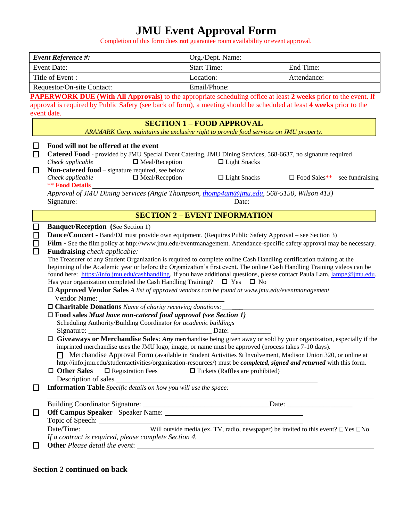# **JMU Event Approval Form**

Completion of this form does **not** guarantee room availability or event approval.

|                                                                                                                                      | <b>Event Reference #:</b>                                                                                                                                                                                                                                                                                                                                                                                                                                                                                                                                                                                                                                                                                                                                                                                                                                                                                                                                                                                                                                                                                                                                                                                                                                                                                                                                                                                                                                                                                                                                                                                                                                                                                                                                              | Org./Dept. Name:                                                                      |                     |                                                      |  |  |  |  |
|--------------------------------------------------------------------------------------------------------------------------------------|------------------------------------------------------------------------------------------------------------------------------------------------------------------------------------------------------------------------------------------------------------------------------------------------------------------------------------------------------------------------------------------------------------------------------------------------------------------------------------------------------------------------------------------------------------------------------------------------------------------------------------------------------------------------------------------------------------------------------------------------------------------------------------------------------------------------------------------------------------------------------------------------------------------------------------------------------------------------------------------------------------------------------------------------------------------------------------------------------------------------------------------------------------------------------------------------------------------------------------------------------------------------------------------------------------------------------------------------------------------------------------------------------------------------------------------------------------------------------------------------------------------------------------------------------------------------------------------------------------------------------------------------------------------------------------------------------------------------------------------------------------------------|---------------------------------------------------------------------------------------|---------------------|------------------------------------------------------|--|--|--|--|
| <b>Event Date:</b>                                                                                                                   |                                                                                                                                                                                                                                                                                                                                                                                                                                                                                                                                                                                                                                                                                                                                                                                                                                                                                                                                                                                                                                                                                                                                                                                                                                                                                                                                                                                                                                                                                                                                                                                                                                                                                                                                                                        | <b>Start Time:</b>                                                                    |                     | End Time:                                            |  |  |  |  |
| Title of Event:                                                                                                                      |                                                                                                                                                                                                                                                                                                                                                                                                                                                                                                                                                                                                                                                                                                                                                                                                                                                                                                                                                                                                                                                                                                                                                                                                                                                                                                                                                                                                                                                                                                                                                                                                                                                                                                                                                                        | Location:                                                                             |                     | Attendance:                                          |  |  |  |  |
|                                                                                                                                      | Requestor/On-site Contact:                                                                                                                                                                                                                                                                                                                                                                                                                                                                                                                                                                                                                                                                                                                                                                                                                                                                                                                                                                                                                                                                                                                                                                                                                                                                                                                                                                                                                                                                                                                                                                                                                                                                                                                                             | Email/Phone:                                                                          |                     |                                                      |  |  |  |  |
|                                                                                                                                      | <b>PAPERWORK DUE (With All Approvals)</b> to the appropriate scheduling office at least 2 weeks prior to the event. If                                                                                                                                                                                                                                                                                                                                                                                                                                                                                                                                                                                                                                                                                                                                                                                                                                                                                                                                                                                                                                                                                                                                                                                                                                                                                                                                                                                                                                                                                                                                                                                                                                                 |                                                                                       |                     |                                                      |  |  |  |  |
| approval is required by Public Safety (see back of form), a meeting should be scheduled at least 4 weeks prior to the<br>event date. |                                                                                                                                                                                                                                                                                                                                                                                                                                                                                                                                                                                                                                                                                                                                                                                                                                                                                                                                                                                                                                                                                                                                                                                                                                                                                                                                                                                                                                                                                                                                                                                                                                                                                                                                                                        |                                                                                       |                     |                                                      |  |  |  |  |
|                                                                                                                                      |                                                                                                                                                                                                                                                                                                                                                                                                                                                                                                                                                                                                                                                                                                                                                                                                                                                                                                                                                                                                                                                                                                                                                                                                                                                                                                                                                                                                                                                                                                                                                                                                                                                                                                                                                                        | <b>SECTION 1 - FOOD APPROVAL</b>                                                      |                     |                                                      |  |  |  |  |
|                                                                                                                                      |                                                                                                                                                                                                                                                                                                                                                                                                                                                                                                                                                                                                                                                                                                                                                                                                                                                                                                                                                                                                                                                                                                                                                                                                                                                                                                                                                                                                                                                                                                                                                                                                                                                                                                                                                                        | ARAMARK Corp. maintains the exclusive right to provide food services on JMU property. |                     |                                                      |  |  |  |  |
| Ш                                                                                                                                    | Food will not be offered at the event                                                                                                                                                                                                                                                                                                                                                                                                                                                                                                                                                                                                                                                                                                                                                                                                                                                                                                                                                                                                                                                                                                                                                                                                                                                                                                                                                                                                                                                                                                                                                                                                                                                                                                                                  |                                                                                       |                     |                                                      |  |  |  |  |
| □                                                                                                                                    | Catered Food - provided by JMU Special Event Catering, JMU Dining Services, 568-6637, no signature required<br>Check applicable                                                                                                                                                                                                                                                                                                                                                                                                                                                                                                                                                                                                                                                                                                                                                                                                                                                                                                                                                                                                                                                                                                                                                                                                                                                                                                                                                                                                                                                                                                                                                                                                                                        | $\Box$ Meal/Reception                                                                 | $\Box$ Light Snacks |                                                      |  |  |  |  |
| $\Box$                                                                                                                               | Non-catered food – signature required, see below<br>Check applicable<br><b>** Food Details</b>                                                                                                                                                                                                                                                                                                                                                                                                                                                                                                                                                                                                                                                                                                                                                                                                                                                                                                                                                                                                                                                                                                                                                                                                                                                                                                                                                                                                                                                                                                                                                                                                                                                                         | $\Box$ Meal/Reception                                                                 | $\Box$ Light Snacks | $\Box$ Food Sales** – see fundraising                |  |  |  |  |
|                                                                                                                                      | Approval of JMU Dining Services (Angie Thompson, thomp4am@jmu.edu, 568-5150, Wilson 413)<br>Date: $\qquad \qquad$                                                                                                                                                                                                                                                                                                                                                                                                                                                                                                                                                                                                                                                                                                                                                                                                                                                                                                                                                                                                                                                                                                                                                                                                                                                                                                                                                                                                                                                                                                                                                                                                                                                      |                                                                                       |                     |                                                      |  |  |  |  |
|                                                                                                                                      | <b>SECTION 2 - EVENT INFORMATION</b>                                                                                                                                                                                                                                                                                                                                                                                                                                                                                                                                                                                                                                                                                                                                                                                                                                                                                                                                                                                                                                                                                                                                                                                                                                                                                                                                                                                                                                                                                                                                                                                                                                                                                                                                   |                                                                                       |                     |                                                      |  |  |  |  |
| □<br>$\Box$<br>□<br>$\Box$                                                                                                           | <b>Banquet/Reception</b> (See Section 1)<br>Dance/Concert - Band/DJ must provide own equipment. (Requires Public Safety Approval - see Section 3)<br>Film - See the film policy at http://www.jmu.edu/eventmanagement. Attendance-specific safety approval may be necessary.<br>Fundraising check applicable:<br>The Treasurer of any Student Organization is required to complete online Cash Handling certification training at the<br>beginning of the Academic year or before the Organization's first event. The online Cash Handling Training videos can be<br>found here: https://info.jmu.edu/cashhandling. If you have additional questions, please contact Paula Lam, lampe@jmu.edu.<br>Has your organization completed the Cash Handling Training? $\Box$ Yes $\Box$ No<br>$\Box$ Approved Vendor Sales A list of approved vendors can be found at www.jmu.edu/eventmanagement<br>$\Box$ Charitable Donations Name of charity receiving donations:<br>$\Box$ Food sales Must have non-catered food approval (see Section 1)<br>Scheduling Authority/Building Coordinator for academic buildings<br>Signature: $\Box$ Date: $\Box$ Date: $\Box$ Date: $\Box$ Date: $\Box$ Oiveaways or Merchandise Sales: Any merchandise being given away or sold by your organization, especially if the<br>imprinted merchandise uses the JMU logo, image, or name must be approved (process takes 7-10 days).<br>Merchandise Approval Form (available in Student Activities & Involvement, Madison Union 320, or online at<br>http://info.jmu.edu/studentactivities/organization-resources/) must be completed, signed and returned with this form.<br>$\Box$ Other Sales<br>$\Box$ Registration Fees<br>$\Box$ Tickets (Raffles are prohibited)<br>Description of sales |                                                                                       |                     |                                                      |  |  |  |  |
| □                                                                                                                                    |                                                                                                                                                                                                                                                                                                                                                                                                                                                                                                                                                                                                                                                                                                                                                                                                                                                                                                                                                                                                                                                                                                                                                                                                                                                                                                                                                                                                                                                                                                                                                                                                                                                                                                                                                                        |                                                                                       |                     | <u> 1989 - Johann Barn, fransk politik (f. 1989)</u> |  |  |  |  |
| $\Box$<br>□                                                                                                                          | Topic of Speech:<br>Date/Time: <u>Will outside media (ex. TV, radio, newspaper</u> ) be invited to this event? □Yes □No<br>If a contract is required, please complete Section 4.<br>Other Please detail the event:                                                                                                                                                                                                                                                                                                                                                                                                                                                                                                                                                                                                                                                                                                                                                                                                                                                                                                                                                                                                                                                                                                                                                                                                                                                                                                                                                                                                                                                                                                                                                     |                                                                                       |                     |                                                      |  |  |  |  |

## **Section 2 continued on back**